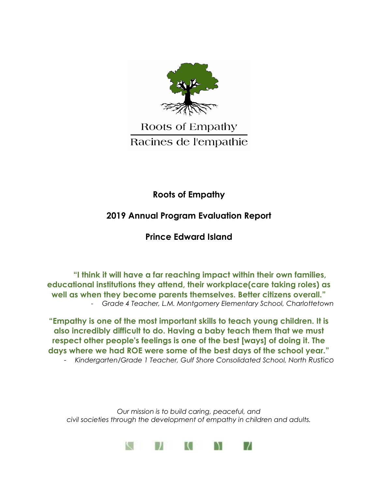

# Roots of Empathy Racines de l'empathie

# **Roots of Empathy**

# **2019 Annual Program Evaluation Report**

### **Prince Edward Island**

**"I think it will have a far reaching impact within their own families, educational institutions they attend, their workplace(care taking roles) as well as when they become parents themselves. Better citizens overall."** - *Grade 4 Teacher, L.M. Montgomery Elementary School, Charlottetown*

**"Empathy is one of the most important skills to teach young children. It is also incredibly difficult to do. Having a baby teach them that we must respect other people's feelings is one of the best [ways] of doing it. The days where we had ROE were some of the best days of the school year."** - *Kindergarten/Grade 1 Teacher, Gulf Shore Consolidated School, North Rustico*

*Our mission is to build caring, peaceful, and civil societies through the development of empathy in children and adults.*

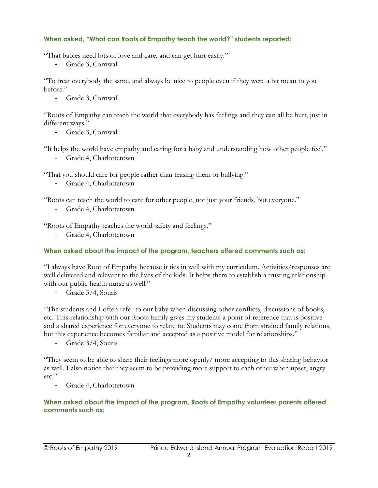### **When asked, "What can Roots of Empathy teach the world?" students reported:**

"That babies need lots of love and care, and can get hurt easily."

Grade 3, Cornwall

"To treat everybody the same, and always be nice to people even if they were a bit mean to you before."

- Grade 3, Cornwall

"Roots of Empathy can teach the world that everybody has feelings and they can all be hurt, just in different ways."

- Grade 3, Cornwall

"It helps the world have empathy and caring for a baby and understanding how other people feel."

- Grade 4, Charlottetown

"That you should care for people rather than teasing them or bullying."

- Grade 4, Charlottetown

"Roots can teach the world to care for other people, not just your friends, but everyone."

Grade 4, Charlottetown

"Roots of Empathy teaches the world safety and feelings."

- Grade 4, Charlottetown

### **When asked about the impact of the program, teachers offered comments such as:**

"I always have Root of Empathy because it ties in well with my curriculum. Activities/responses are well delivered and relevant to the lives of the kids. It helps them to establish a trusting relationship with our public health nurse as well."

- Grade 3/4, Souris

"The students and I often refer to our baby when discussing other conflicts, discussions of books, etc. This relationship with our Roots family gives my students a point of reference that is positive and a shared experience for everyone to relate to. Students may come from strained family relations, but this experience becomes familiar and accepted as a positive model for relationships."

- Grade 3/4, Souris

"They seem to be able to share their feelings more openly/ more accepting to this sharing behavior as well. I also notice that they seem to be providing more support to each other when upset, angry etc<sup>"</sup>

- Grade 4, Charlottetown

**When asked about the impact of the program, Roots of Empathy volunteer parents offered comments such as:**